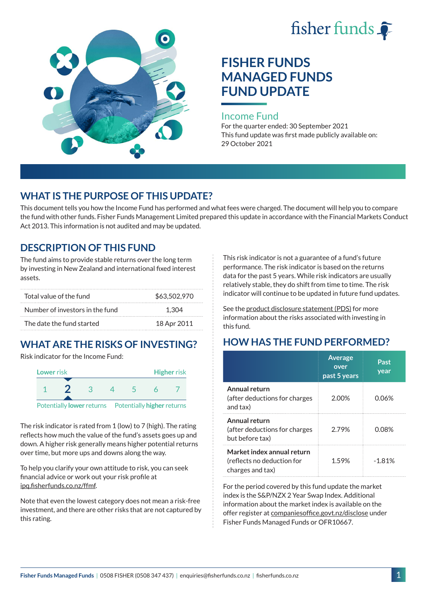



# **FISHER FUNDS MANAGED FUNDS FUND UPDATE**

#### Income Fund

For the quarter ended: 30 September 2021 This fund update was first made publicly available on: 29 October 2021

### **WHAT IS THE PURPOSE OF THIS UPDATE?**

This document tells you how the Income Fund has performed and what fees were charged. The document will help you to compare the fund with other funds. Fisher Funds Management Limited prepared this update in accordance with the Financial Markets Conduct Act 2013. This information is not audited and may be updated.

### **DESCRIPTION OF THIS FUND**

The fund aims to provide stable returns over the long term by investing in New Zealand and international fixed interest assets.

| Total value of the fund         | \$63,502,970 |
|---------------------------------|--------------|
| Number of investors in the fund | 1.304        |
| The date the fund started       | 18 Apr 2011  |

## **WHAT ARE THE RISKS OF INVESTING?**

Risk indicator for the Income Fund:



The risk indicator is rated from 1 (low) to 7 (high). The rating reflects how much the value of the fund's assets goes up and down. A higher risk generally means higher potential returns over time, but more ups and downs along the way.

To help you clarify your own attitude to risk, you can seek financial advice or work out your risk profile at [ipq.fisherfunds.co.nz/ffmf](https://ipq.fisherfunds.co.nz/ffmf).

Note that even the lowest category does not mean a risk-free investment, and there are other risks that are not captured by this rating.

This risk indicator is not a guarantee of a fund's future performance. The risk indicator is based on the returns data for the past 5 years. While risk indicators are usually relatively stable, they do shift from time to time. The risk indicator will continue to be updated in future fund updates.

See the [product disclosure statement \(PDS\)](https://fisherfunds.co.nz/assets/PDS/Fisher-Funds-Managed-Funds-PDS.pdf) for more information about the risks associated with investing in this fund.

## **HOW HAS THE FUND PERFORMED?**

|                                                                              | <b>Average</b><br>over<br>past 5 years | Past<br>year |
|------------------------------------------------------------------------------|----------------------------------------|--------------|
| Annual return<br>(after deductions for charges<br>and tax)                   | 2.00%                                  | 0.06%        |
| Annual return<br>(after deductions for charges<br>but before tax)            | 2.79%                                  | 0.08%        |
| Market index annual return<br>(reflects no deduction for<br>charges and tax) | 1.59%                                  | $-1.81%$     |

For the period covered by this fund update the market index is the S&P/NZX 2 Year Swap Index. Additional information about the market index is available on the offer register at [companiesoffice.govt.nz/disclose](http://companiesoffice.govt.nz/disclose) under Fisher Funds Managed Funds or OFR10667.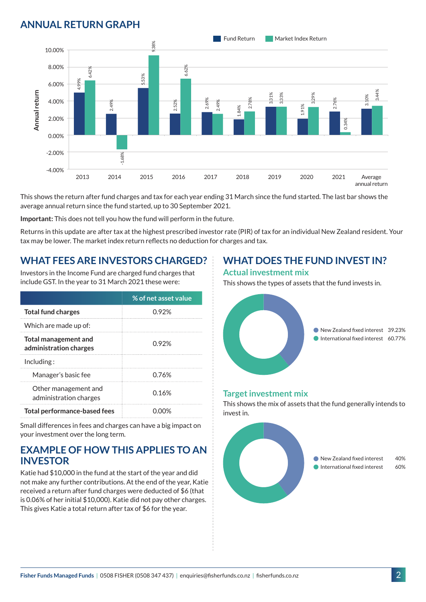## **ANNUAL RETURN GRAPH**



This shows the return after fund charges and tax for each year ending 31 March since the fund started. The last bar shows the average annual return since the fund started, up to 30 September 2021.

**Important:** This does not tell you how the fund will perform in the future.

Returns in this update are after tax at the highest prescribed investor rate (PIR) of tax for an individual New Zealand resident. Your tax may be lower. The market index return reflects no deduction for charges and tax.

### **WHAT FEES ARE INVESTORS CHARGED?**

Investors in the Income Fund are charged fund charges that include GST. In the year to 31 March 2021 these were:

|                                                | % of net asset value |  |
|------------------------------------------------|----------------------|--|
| <b>Total fund charges</b>                      | 0.92%                |  |
| Which are made up of:                          |                      |  |
| Total management and<br>administration charges | በ 92%                |  |
| Inding:                                        |                      |  |
| Manager's basic fee                            | 0.76%                |  |
| Other management and<br>administration charges | 0.16%                |  |
| <b>Total performance-based fees</b>            |                      |  |

Small differences in fees and charges can have a big impact on your investment over the long term.

### **EXAMPLE OF HOW THIS APPLIES TO AN INVESTOR**

Katie had \$10,000 in the fund at the start of the year and did not make any further contributions. At the end of the year, Katie received a return after fund charges were deducted of \$6 (that is 0.06% of her initial \$10,000). Katie did not pay other charges. This gives Katie a total return after tax of \$6 for the year.

## **WHAT DOES THE FUND INVEST IN?**

#### **Actual investment mix**

This shows the types of assets that the fund invests in.



#### **Target investment mix**

This shows the mix of assets that the fund generally intends to invest in.